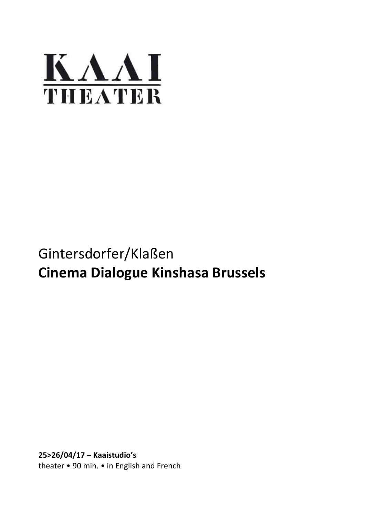

# Gintersdorfer/Klaßen **Cinema Dialogue Kinshasa Brussels**

**25>26/04/17 – Kaaistudio's** theater • 90 min. • in English and French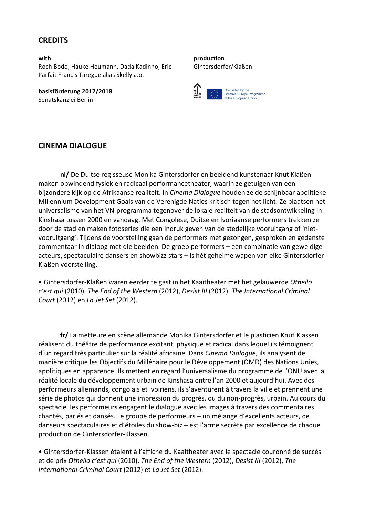# **CREDITS**

**with** Roch Bodo, Hauke Heumann, Dada Kadinho, Eric Parfait Francis Taregue alias Skelly a.o.

**basisförderung 2017/2018** Senatskanzlei Berlin

**production** Gintersdorfer/Klaßen



#### **CINEMA DIALOGUE**

**nl/** De Duitse regisseuse Monika Gintersdorfer en beeldend kunstenaar Knut Klaßen maken opwindend fysiek en radicaal performancetheater, waarin ze getuigen van een bijzondere kijk op de Afrikaanse realiteit. In *Cinema Dialoque* houden ze de schijnbaar apolitieke Millennium Development Goals van de Verenigde Naties kritisch tegen het licht. Ze plaatsen het universalisme van het VN-programma tegenover de lokale realiteit van de stadsontwikkeling in Kinshasa tussen 2000 en vandaag. Met Congolese, Duitse en Ivoriaanse performers trekken ze door de stad en maken fotoseries die een indruk geven van de stedelijke vooruitgang of 'nietvooruitgang'. Tijdens de voorstelling gaan de performers met gezongen, gesproken en gedanste commentaar in dialoog met die beelden. De groep performers – een combinatie van geweldige acteurs, spectaculaire dansers en showbizz stars - is hét geheime wapen van elke Gintersdorfer-Klaßen voorstelling.

• Gintersdorfer-Klaßen waren eerder te gast in het Kaaitheater met het gelauwerde Othello *c'est qui* (2010), The End of the Western (2012), Desist III (2012), The International Criminal *Court* (2012) en *La Jet Set* (2012).

fr/ La metteure en scène allemande Monika Gintersdorfer et le plasticien Knut Klassen réalisent du théâtre de performance excitant, physique et radical dans lequel ils témoignent d'un regard très particulier sur la réalité africaine. Dans *Cinema Dialoque*, ils analysent de manière critique les Objectifs du Millénaire pour le Développement (OMD) des Nations Unies, apolitiques en apparence. Ils mettent en regard l'universalisme du programme de l'ONU avec la réalité locale du développement urbain de Kinshasa entre l'an 2000 et aujourd'hui. Avec des performeurs allemands, congolais et ivoiriens, ils s'aventurent à travers la ville et prennent une série de photos qui donnent une impression du progrès, ou du non-progrès, urbain. Au cours du spectacle, les performeurs engagent le dialogue avec les images à travers des commentaires chantés, parlés et dansés. Le groupe de performeurs – un mélange d'excellents acteurs, de danseurs spectaculaires et d'étoiles du show-biz – est l'arme secrète par excellence de chaque production de Gintersdorfer-Klassen.

• Gintersdorfer-Klassen étaient à l'affiche du Kaaitheater avec le spectacle couronné de succès et de prix Othello c'est qui (2010), The End of the Western (2012), Desist III (2012), The *International Criminal Court* (2012) et *La Jet Set* (2012).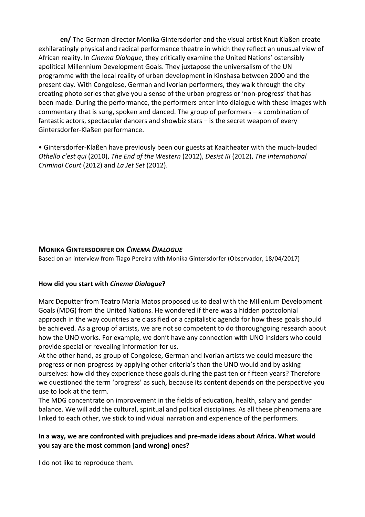**en/** The German director Monika Gintersdorfer and the visual artist Knut Klaßen create exhilaratingly physical and radical performance theatre in which they reflect an unusual view of African reality. In *Cinema Dialogue*, they critically examine the United Nations' ostensibly apolitical Millennium Development Goals. They juxtapose the universalism of the UN programme with the local reality of urban development in Kinshasa between 2000 and the present day. With Congolese, German and Ivorian performers, they walk through the city creating photo series that give you a sense of the urban progress or 'non-progress' that has been made. During the performance, the performers enter into dialogue with these images with commentary that is sung, spoken and danced. The group of performers  $-$  a combination of fantastic actors, spectacular dancers and showbiz stars  $-$  is the secret weapon of every Gintersdorfer-Klaßen performance.

• Gintersdorfer-Klaßen have previously been our guests at Kaaitheater with the much-lauded *Othello c'est qui* (2010), *The End of the Western* (2012), *Desist III* (2012), *The International Criminal Court* (2012) and *La Jet Set* (2012).

# **MONIKA GINTERSDORFER ON** *CINEMA DIALOGUE*

Based on an interview from Tiago Pereira with Monika Gintersdorfer (Observador, 18/04/2017)

#### **How did you start with** *Cinema Dialogue***?**

Marc Deputter from Teatro Maria Matos proposed us to deal with the Millenium Development Goals (MDG) from the United Nations. He wondered if there was a hidden postcolonial approach in the way countries are classified or a capitalistic agenda for how these goals should be achieved. As a group of artists, we are not so competent to do thoroughgoing research about how the UNO works. For example, we don't have any connection with UNO insiders who could provide special or revealing information for us.

At the other hand, as group of Congolese, German and Ivorian artists we could measure the progress or non-progress by applying other criteria's than the UNO would and by asking ourselves: how did they experience these goals during the past ten or fifteen years? Therefore we questioned the term 'progress' as such, because its content depends on the perspective you use to look at the term.

The MDG concentrate on improvement in the fields of education, health, salary and gender balance. We will add the cultural, spiritual and political disciplines. As all these phenomena are linked to each other, we stick to individual narration and experience of the performers.

# In a way, we are confronted with prejudices and pre-made ideas about Africa. What would **you say are the most common (and wrong) ones?**

I do not like to reproduce them.